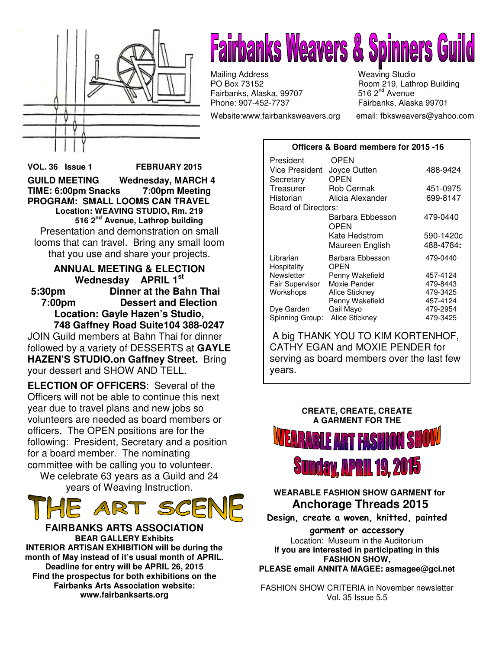

# **Fairbanks Weavers & Spinners G**t

Mailing Address Weaving Studio<br>
PO Box 73152 Moom 219, Lath Fairbanks, Alaska, 99707 Phone: 907-452-7737 Fairbanks, Alaska 99701

Website:www.fairbanksweavers.org email: fbksweavers@yahoo.com

Room 219, Lathrop Building<br>516 2<sup>nd</sup> Avenue

### **Officers & Board members for 2015 -16**

**VOL. 36 Issue 1 FEBRUARY 2015 GUILD MEETING Wednesday, MARCH 4 TIME: 6:00pm Snacks 7:00pm Meeting PROGRAM: SMALL LOOMS CAN TRAVEL Location: WEAVING STUDIO, Rm. 219 516 2nd Avenue, Lathrop building**  Presentation and demonstration on small looms that can travel. Bring any small loom that you use and share your projects.

### **ANNUAL MEETING & ELECTION Wednesday APRIL 1st 5:30pm Dinner at the Bahn Thai 7:00pm Dessert and Election Location: Gayle Hazen's Studio,**

 **748 Gaffney Road Suite104 388-0247**  JOIN Guild members at Bahn Thai for dinner followed by a variety of DESSERTS at **GAYLE HAZEN'S STUDIO.on Gaffney Street.** Bring your dessert and SHOW AND TELL.

**ELECTION OF OFFICERS**: Several of the Officers will not be able to continue this next year due to travel plans and new jobs so volunteers are needed as board members or officers. The OPEN positions are for the following: President, Secretary and a position for a board member. The nominating committee with be calling you to volunteer.

We celebrate 63 years as a Guild and 24 years of Weaving Instruction.



**FAIRBANKS ARTS ASSOCIATION BEAR GALLERY Exhibits INTERIOR ARTISAN EXHIBITION will be during the month of May instead of it's usual month of APRIL. Deadline for entry will be APRIL 26, 2015 Find the prospectus for both exhibitions on the Fairbanks Arts Association website: www.fairbanksarts.org** 

| President                  | OPEN              |           |
|----------------------------|-------------------|-----------|
| Vice President             | Joyce Outten      | 488-9424  |
| Secretary                  | <b>OPEN</b>       |           |
| Treasurer                  | <b>Rob Cermak</b> | 451-0975  |
| Historian                  | Alicia Alexander  | 699-8147  |
| <b>Board of Directors:</b> |                   |           |
|                            | Barbara Ebbesson  | 479-0440  |
|                            | OPEN              |           |
|                            | Kate Hedstrom     | 590-1420c |
|                            | Maureen English   | 488-4784: |
| Librarian                  | Barbara Ebbesson  | 479-0440  |
| Hospitality                | OPEN              |           |
| Newsletter                 | Penny Wakefield   | 457-4124  |
| Fair Supervisor            | Moxie Pender      | 479-8443  |
| Workshops                  | Alice Stickney    | 479-3425  |
|                            | Penny Wakefield   | 457-4124  |
|                            |                   |           |
| Dye Garden                 | Gail Mayo         | 479-2954  |
| Spinning Group:            | Alice Stickney    | 479-3425  |

 A big THANK YOU TO KIM KORTENHOF, CATHY EGAN and MOXIE PENDER for serving as board members over the last few years.



## **WEARABLE FASHION SHOW GARMENT for Anchorage Threads 2015**

Design, create a woven, knitted, painted

garment or accessory Location: Museum in the Auditorium **If you are interested in participating in this FASHION SHOW, PLEASE email ANNITA MAGEE: asmagee@gci.net**

FASHION SHOW CRITERIA in November newsletter Vol. 35 Issue 5.5